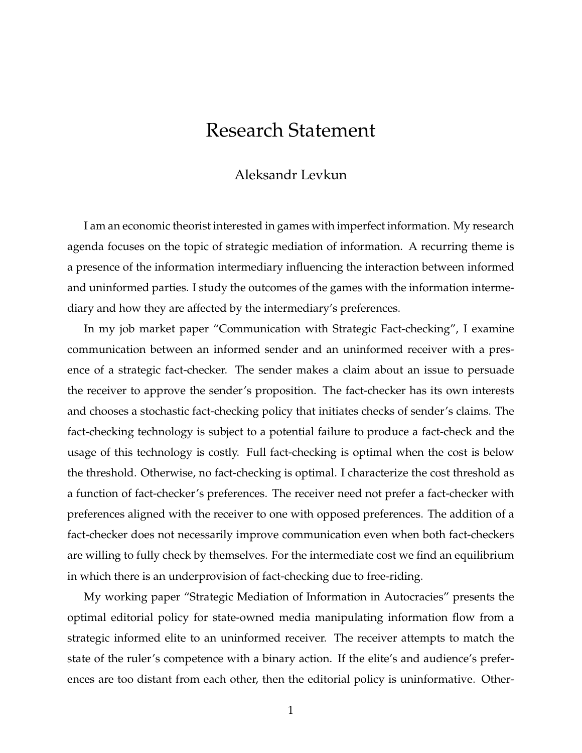## Research Statement

## Aleksandr Levkun

I am an economic theorist interested in games with imperfect information. My research agenda focuses on the topic of strategic mediation of information. A recurring theme is a presence of the information intermediary influencing the interaction between informed and uninformed parties. I study the outcomes of the games with the information intermediary and how they are affected by the intermediary's preferences.

In my job market paper "Communication with Strategic Fact-checking", I examine communication between an informed sender and an uninformed receiver with a presence of a strategic fact-checker. The sender makes a claim about an issue to persuade the receiver to approve the sender's proposition. The fact-checker has its own interests and chooses a stochastic fact-checking policy that initiates checks of sender's claims. The fact-checking technology is subject to a potential failure to produce a fact-check and the usage of this technology is costly. Full fact-checking is optimal when the cost is below the threshold. Otherwise, no fact-checking is optimal. I characterize the cost threshold as a function of fact-checker's preferences. The receiver need not prefer a fact-checker with preferences aligned with the receiver to one with opposed preferences. The addition of a fact-checker does not necessarily improve communication even when both fact-checkers are willing to fully check by themselves. For the intermediate cost we find an equilibrium in which there is an underprovision of fact-checking due to free-riding.

My working paper "Strategic Mediation of Information in Autocracies" presents the optimal editorial policy for state-owned media manipulating information flow from a strategic informed elite to an uninformed receiver. The receiver attempts to match the state of the ruler's competence with a binary action. If the elite's and audience's preferences are too distant from each other, then the editorial policy is uninformative. Other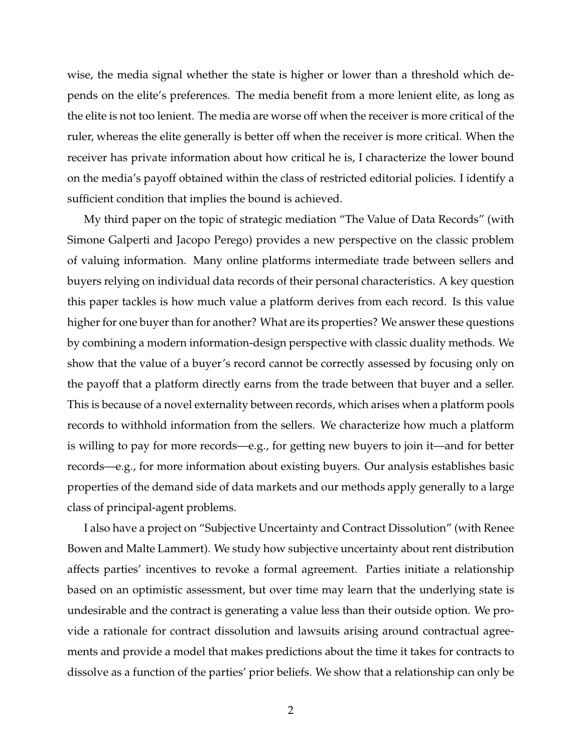wise, the media signal whether the state is higher or lower than a threshold which depends on the elite's preferences. The media benefit from a more lenient elite, as long as the elite is not too lenient. The media are worse off when the receiver is more critical of the ruler, whereas the elite generally is better off when the receiver is more critical. When the receiver has private information about how critical he is, I characterize the lower bound on the media's payoff obtained within the class of restricted editorial policies. I identify a sufficient condition that implies the bound is achieved.

My third paper on the topic of strategic mediation "The Value of Data Records" (with Simone Galperti and Jacopo Perego) provides a new perspective on the classic problem of valuing information. Many online platforms intermediate trade between sellers and buyers relying on individual data records of their personal characteristics. A key question this paper tackles is how much value a platform derives from each record. Is this value higher for one buyer than for another? What are its properties? We answer these questions by combining a modern information-design perspective with classic duality methods. We show that the value of a buyer's record cannot be correctly assessed by focusing only on the payoff that a platform directly earns from the trade between that buyer and a seller. This is because of a novel externality between records, which arises when a platform pools records to withhold information from the sellers. We characterize how much a platform is willing to pay for more records—e.g., for getting new buyers to join it—and for better records—e.g., for more information about existing buyers. Our analysis establishes basic properties of the demand side of data markets and our methods apply generally to a large class of principal-agent problems.

I also have a project on "Subjective Uncertainty and Contract Dissolution" (with Renee Bowen and Malte Lammert). We study how subjective uncertainty about rent distribution affects parties' incentives to revoke a formal agreement. Parties initiate a relationship based on an optimistic assessment, but over time may learn that the underlying state is undesirable and the contract is generating a value less than their outside option. We provide a rationale for contract dissolution and lawsuits arising around contractual agreements and provide a model that makes predictions about the time it takes for contracts to dissolve as a function of the parties' prior beliefs. We show that a relationship can only be